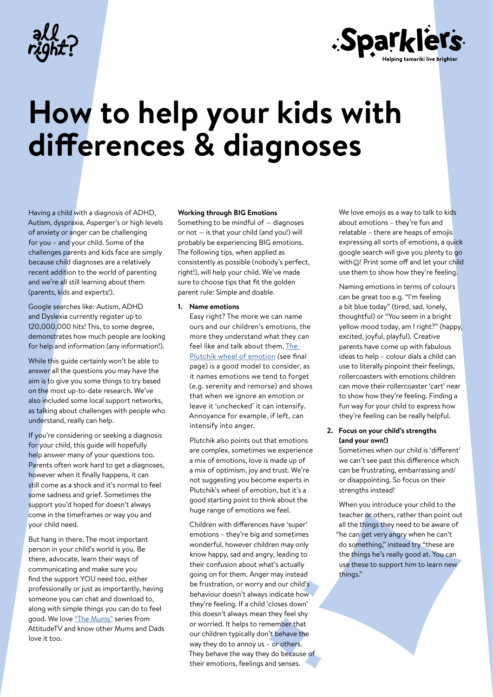



# **How to help your kids with differences & diagnoses**

Having a child with a diagnosis of ADHD, Autism, dyspraxia, Asperger's or high levels of anxiety or anger can be challenging for you – and your child. Some of the challenges parents and kids face are simply because child diagnoses are a relatively recent addition to the world of parenting and we're all still learning about them (parents, kids and experts!).

Google searches like: Autism, ADHD and Dyslexia currently register up to 120,000,000 hits! This, to some degree, demonstrates how much people are looking for help and information (any information!).

While this guide certainly won't be able to answer all the questions you may have the aim is to give you some things to try based on the most up-to-date research. We've also included some local support networks, as talking about challenges with people who understand, really can help.

If you're considering or seeking a diagnosis for your child, this guide will hopefully help answer many of your questions too. Parents often work hard to get a diagnoses, however when it finally happens, it can still come as a shock and it's normal to feel some sadness and grief. Sometimes the support you'd hoped for doesn't always come in the timeframes or way you and your child need.

But hang in there. The most important person in your child's world is you. Be there, advocate, learn their ways of communicating and make sure you find the support YOU need too, either professionally or just as importantly, having someone you can chat and download to, along with simple things you can do to feel good. We love ["The Mums"](https://attitudelive.com/watch/The-Mums-on-Where-To-Seek-Help) series from AttitudeTV and know other Mums and Dads love it too.

#### **Working through BIG Emotions**

Something to be mindful of — diagnoses or not — is that your child (and you!) will probably be experiencing BIG emotions. The following tips, when applied as consistently as possible (nobody's perfect, right!), will help your child. We've made sure to choose tips that fit the golden parent rule: Simple and doable.

### **1. Name emotions**

Easy right? The more we can name ours and our children's emotions, the more they understand what they can feel like and talk about them. [The](https://positivepsychologyprogram.com/wp-content/uploads/2017/12/wheel-of-emotions.jpg)  [Plutchik wheel of emotion](https://positivepsychologyprogram.com/wp-content/uploads/2017/12/wheel-of-emotions.jpg) (see final page) is a good model to consider, as it names emotions we tend to forget (e.g. serenity and remorse) and shows that when we ignore an emotion or leave it 'unchecked' it can intensify. Annoyance for example, if left, can intensify into anger.

Plutchik also points out that emotions are complex, sometimes we experience a mix of emotions, love is made up of a mix of optimism, joy and trust. We're not suggesting you become experts in Plutchik's wheel of emotion, but it's a good starting point to think about the huge range of emotions we feel.

Children with differences have 'super' emotions – they're big and sometimes wonderful, however children may only know happy, sad and angry, leading to their confusion about what's actually going on for them. Anger may instead be frustration, or worry and our child's behaviour doesn't always indicate how they're feeling. If a child 'closes down' this doesn't always mean they feel shy or worried. It helps to remember that our children typically don't behave the way they do to annoy us – or others. They behave the way they do because of their emotions, feelings and senses.

We love emojis as a way to talk to kids about emotions – they're fun and relatable – there are heaps of emojis expressing all sorts of emotions, a quick google search will give you plenty to go with $\odot$ ! Print some off and let your child use them to show how they're feeling.

Naming emotions in terms of colours can be great too e.g. "I'm feeling a bit blue today" (tired, sad, lonely, thoughtful) or "You seem in a bright yellow mood today, am I right?" (happy, excited, joyful, playful). Creative parents have come up with fabulous ideas to help – colour dials a child can use to literally pinpoint their feelings, rollercoasters with emotions children can move their rollercoaster 'cart' near to show how they're feeling. Finding a fun way for your child to express how they're feeling can be really helpful.

### **2. Focus on your child's strengths (and your own!)**

Sometimes when our child is 'different' we can't see past this difference which can be frustrating, embarrassing and/ or disappointing. So focus on their strengths instead!

When you introduce your child to the teacher or others, rather than point out all the things they need to be aware of "he can get very angry when he can't do something," instead try "these are the things he's really good at. You can use these to support him to learn new things."